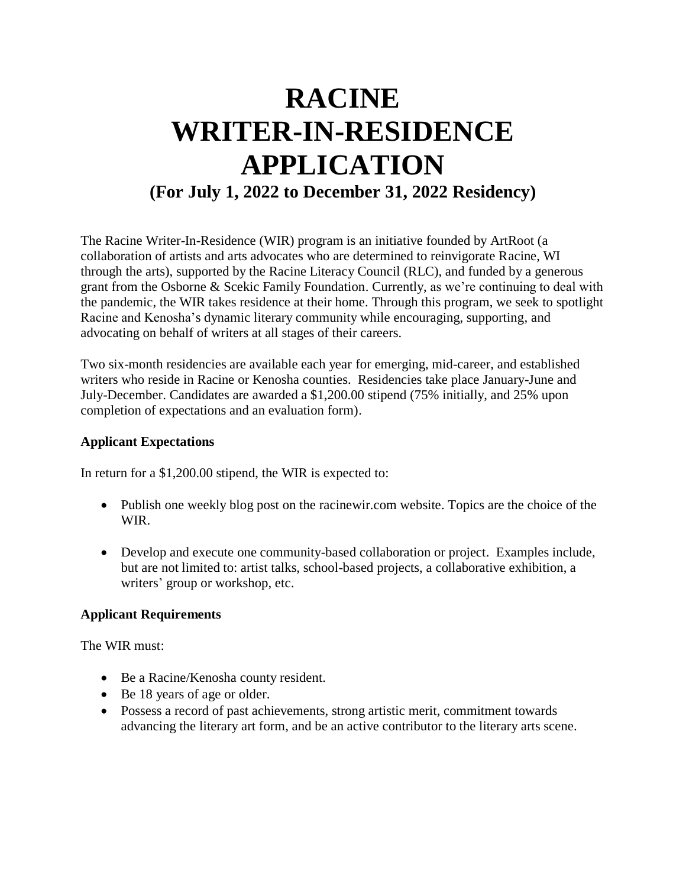# **RACINE WRITER-IN-RESIDENCE APPLICATION (For July 1, 2022 to December 31, 2022 Residency)**

The Racine Writer-In-Residence (WIR) program is an initiative founded by ArtRoot (a collaboration of artists and arts advocates who are determined to reinvigorate Racine, WI through the arts), supported by the Racine Literacy Council (RLC), and funded by a generous grant from the Osborne & Scekic Family Foundation. Currently, as we're continuing to deal with the pandemic, the WIR takes residence at their home. Through this program, we seek to spotlight Racine and Kenosha's dynamic literary community while encouraging, supporting, and advocating on behalf of writers at all stages of their careers.

Two six-month residencies are available each year for emerging, mid-career, and established writers who reside in Racine or Kenosha counties. Residencies take place January-June and July-December. Candidates are awarded a \$1,200.00 stipend (75% initially, and 25% upon completion of expectations and an evaluation form).

## **Applicant Expectations**

In return for a \$1,200.00 stipend, the WIR is expected to:

- Publish one weekly blog post on the racinewir.com website. Topics are the choice of the WIR.
- Develop and execute one community-based collaboration or project. Examples include, but are not limited to: artist talks, school-based projects, a collaborative exhibition, a writers' group or workshop, etc.

### **Applicant Requirements**

The WIR must:

- Be a Racine/Kenosha county resident.
- Be 18 years of age or older.
- Possess a record of past achievements, strong artistic merit, commitment towards advancing the literary art form, and be an active contributor to the literary arts scene.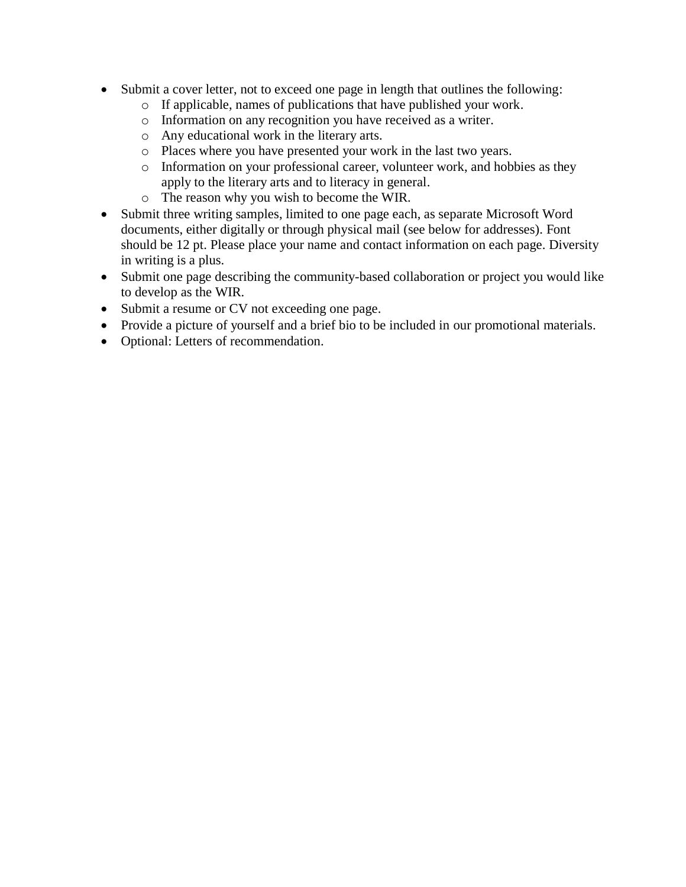- Submit a cover letter, not to exceed one page in length that outlines the following:
	- o If applicable, names of publications that have published your work.
	- o Information on any recognition you have received as a writer.
	- o Any educational work in the literary arts.
	- o Places where you have presented your work in the last two years.
	- o Information on your professional career, volunteer work, and hobbies as they apply to the literary arts and to literacy in general.
	- o The reason why you wish to become the WIR.
- Submit three writing samples, limited to one page each, as separate Microsoft Word documents, either digitally or through physical mail (see below for addresses). Font should be 12 pt. Please place your name and contact information on each page. Diversity in writing is a plus.
- Submit one page describing the community-based collaboration or project you would like to develop as the WIR.
- Submit a resume or CV not exceeding one page.
- Provide a picture of yourself and a brief bio to be included in our promotional materials.
- Optional: Letters of recommendation.